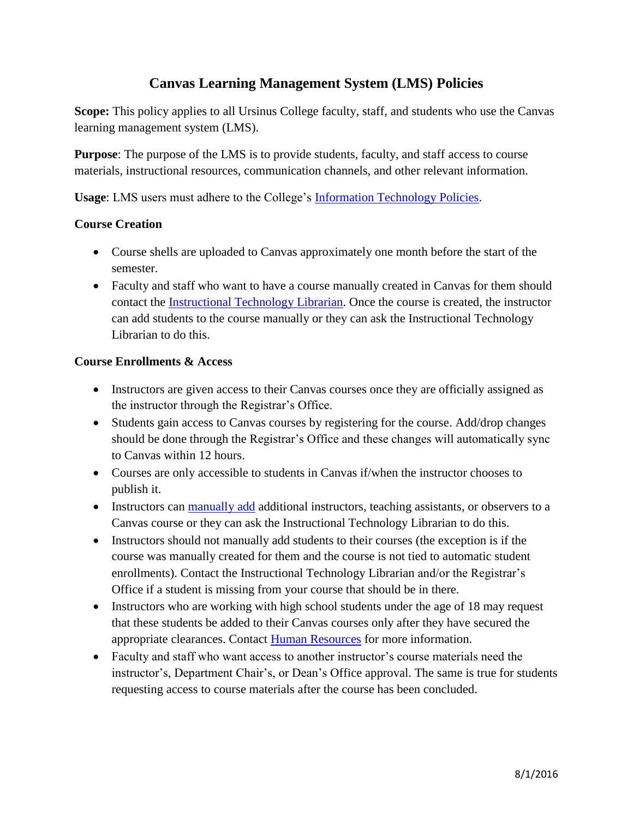# **Canvas Learning Management System (LMS) Policies**

Scope: This policy applies to all Ursinus College faculty, staff, and students who use the Canvas learning management system (LMS).

**Purpose**: The purpose of the LMS is to provide students, faculty, and staff access to course materials, instructional resources, communication channels, and other relevant information.

**Usage**: LMS users must adhere to the College's [Information Technology Policies.](https://www.ursinus.edu/offices/information-technology/information-technology-policies/)

# **Course Creation**

- Course shells are uploaded to Canvas approximately one month before the start of the semester.
- Faculty and staff who want to have a course manually created in Canvas for them should contact the [Instructional Technology Librarian.](mailto:ciannicelli@ursinus.edu) Once the course is created, the instructor can add students to the course manually or they can ask the Instructional Technology Librarian to do this.

# **Course Enrollments & Access**

- Instructors are given access to their Canvas courses once they are officially assigned as the instructor through the Registrar's Office.
- Students gain access to Canvas courses by registering for the course. Add/drop changes should be done through the Registrar's Office and these changes will automatically sync to Canvas within 12 hours.
- Courses are only accessible to students in Canvas if/when the instructor chooses to publish it.
- Instructors can [manually add](https://guides.instructure.com/m/4152/l/40729-how-do-i-add-users-to-my-course) additional instructors, teaching assistants, or observers to a Canvas course or they can ask the Instructional Technology Librarian to do this.
- Instructors should not manually add students to their courses (the exception is if the course was manually created for them and the course is not tied to automatic student enrollments). Contact the Instructional Technology Librarian and/or the Registrar's Office if a student is missing from your course that should be in there.
- Instructors who are working with high school students under the age of 18 may request that these students be added to their Canvas courses only after they have secured the appropriate clearances. Contact [Human Resources](mailto:dcamburn@ursinus.edu) for more information.
- Faculty and staff who want access to another instructor's course materials need the instructor's, Department Chair's, or Dean's Office approval. The same is true for students requesting access to course materials after the course has been concluded.